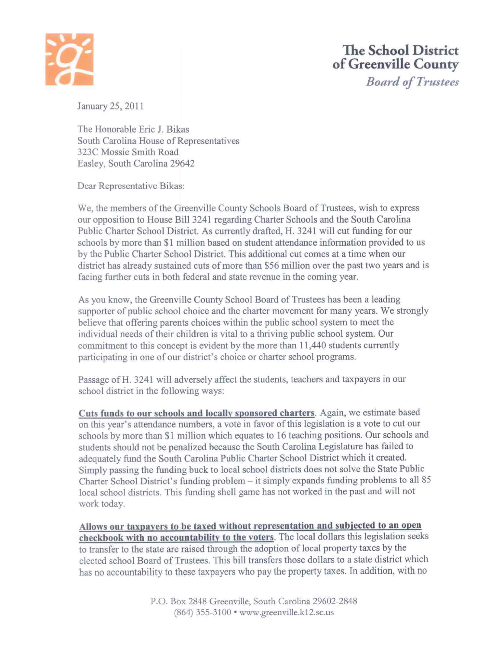

*Board o/Trustees* 

January 25, 2011

The Honorable Eric J. Bikas South Carolina House of Representatives 323C Massie Smith Road Easley, South Carolina 29642

Dear Representative Bikas:

We, the members of the Greenville County Schools Board of Trustees, wish to express our opposition to House Bill 3241 regarding Charter Schools and the South Carolina Public Charter School District. As currently drafted, H. 3241 will cut funding for our schools by more than \$1 million based on student attendance information provided to us by the Public Charter School District. This additional cut comes at a time when our district has already sustained cuts of more than \$56 million over the past two years and is facing further cuts in both federal and state revenue in the coming year.

As you know, the Greenville County School Board of Trustees has been a leading supporter of public school choice and the charter movement for many years. We strongly believe that offering parents choices within the public school system to meet the individual needs oftheir children is vital to a thriving public school system. Our commitment to this concept is evident by the more than 11,440 students currently participating in one of our district's choice or charter school programs.

Passage of H. 3241 will adversely affect the students, teachers and taxpayers in our school district in the following ways:

**Cuts funds to our schools and locally sponsored charters.** Again, we estimate based on this year's attendance numbers, a vote in favor of this legislation is a vote to cut our schools by more than \$1 million which equates to 16 teaching positions. Our schools and students should not be penalized because the South Carolina Legislature has failed to adequately fund the South Carolina Public Charter School District which it created. Simply passing the funding buck to local school districts does not solve the State Public Charter School District's funding problem - it simply expands funding problems to all 85 local school districts. This funding shell game has not worked in the past and will not work today.

**Allows our taxpayers to be taxed without representation and subjected to an open checkbook with no accountability to the voters.** The local dollars this legislation seeks to transfer to the state are raised through the adoption of local property taxes by the elected school Board of Trustees. This bill transfers those dollars to a state district which has no accountability to these taxpayers who pay the property taxes. In addition, with no